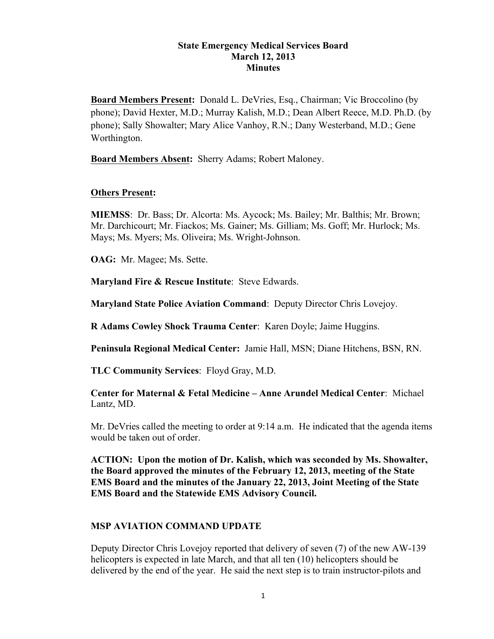#### **State Emergency Medical Services Board March 12, 2013 Minutes**

**Board Members Present:** Donald L. DeVries, Esq., Chairman; Vic Broccolino (by phone); David Hexter, M.D.; Murray Kalish, M.D.; Dean Albert Reece, M.D. Ph.D. (by phone); Sally Showalter; Mary Alice Vanhoy, R.N.; Dany Westerband, M.D.; Gene Worthington.

**Board Members Absent:** Sherry Adams; Robert Maloney.

### **Others Present:**

**MIEMSS**: Dr. Bass; Dr. Alcorta: Ms. Aycock; Ms. Bailey; Mr. Balthis; Mr. Brown; Mr. Darchicourt; Mr. Fiackos; Ms. Gainer; Ms. Gilliam; Ms. Goff; Mr. Hurlock; Ms. Mays; Ms. Myers; Ms. Oliveira; Ms. Wright-Johnson.

**OAG:** Mr. Magee; Ms. Sette.

**Maryland Fire & Rescue Institute**: Steve Edwards.

**Maryland State Police Aviation Command**: Deputy Director Chris Lovejoy.

**R Adams Cowley Shock Trauma Center**: Karen Doyle; Jaime Huggins.

**Peninsula Regional Medical Center:** Jamie Hall, MSN; Diane Hitchens, BSN, RN.

**TLC Community Services**: Floyd Gray, M.D.

## **Center for Maternal & Fetal Medicine – Anne Arundel Medical Center**: Michael Lantz, MD.

Mr. DeVries called the meeting to order at 9:14 a.m. He indicated that the agenda items would be taken out of order.

**ACTION: Upon the motion of Dr. Kalish, which was seconded by Ms. Showalter, the Board approved the minutes of the February 12, 2013, meeting of the State EMS Board and the minutes of the January 22, 2013, Joint Meeting of the State EMS Board and the Statewide EMS Advisory Council.**

# **MSP AVIATION COMMAND UPDATE**

Deputy Director Chris Lovejoy reported that delivery of seven (7) of the new AW-139 helicopters is expected in late March, and that all ten (10) helicopters should be delivered by the end of the year. He said the next step is to train instructor-pilots and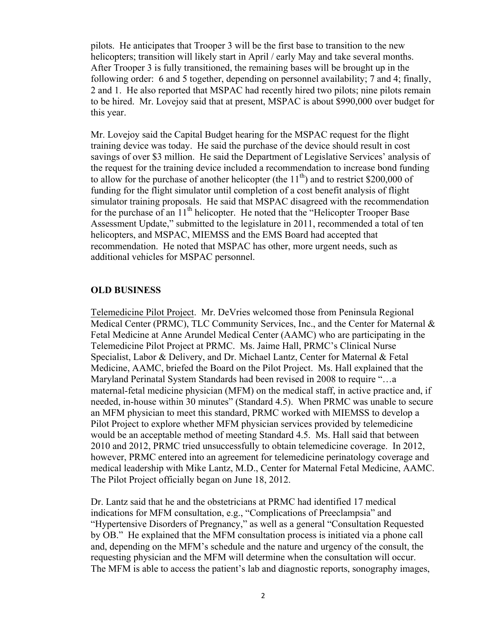pilots. He anticipates that Trooper 3 will be the first base to transition to the new helicopters; transition will likely start in April / early May and take several months. After Trooper 3 is fully transitioned, the remaining bases will be brought up in the following order: 6 and 5 together, depending on personnel availability; 7 and 4; finally, 2 and 1. He also reported that MSPAC had recently hired two pilots; nine pilots remain to be hired. Mr. Lovejoy said that at present, MSPAC is about \$990,000 over budget for this year.

Mr. Lovejoy said the Capital Budget hearing for the MSPAC request for the flight training device was today. He said the purchase of the device should result in cost savings of over \$3 million. He said the Department of Legislative Services' analysis of the request for the training device included a recommendation to increase bond funding to allow for the purchase of another helicopter (the  $11<sup>th</sup>$ ) and to restrict \$200,000 of funding for the flight simulator until completion of a cost benefit analysis of flight simulator training proposals. He said that MSPAC disagreed with the recommendation for the purchase of an  $11<sup>th</sup>$  helicopter. He noted that the "Helicopter Trooper Base" Assessment Update," submitted to the legislature in 2011, recommended a total of ten helicopters, and MSPAC, MIEMSS and the EMS Board had accepted that recommendation. He noted that MSPAC has other, more urgent needs, such as additional vehicles for MSPAC personnel.

#### **OLD BUSINESS**

Telemedicine Pilot Project. Mr. DeVries welcomed those from Peninsula Regional Medical Center (PRMC), TLC Community Services, Inc., and the Center for Maternal & Fetal Medicine at Anne Arundel Medical Center (AAMC) who are participating in the Telemedicine Pilot Project at PRMC. Ms. Jaime Hall, PRMC's Clinical Nurse Specialist, Labor & Delivery, and Dr. Michael Lantz, Center for Maternal & Fetal Medicine, AAMC, briefed the Board on the Pilot Project. Ms. Hall explained that the Maryland Perinatal System Standards had been revised in 2008 to require "…a maternal-fetal medicine physician (MFM) on the medical staff, in active practice and, if needed, in-house within 30 minutes" (Standard 4.5). When PRMC was unable to secure an MFM physician to meet this standard, PRMC worked with MIEMSS to develop a Pilot Project to explore whether MFM physician services provided by telemedicine would be an acceptable method of meeting Standard 4.5. Ms. Hall said that between 2010 and 2012, PRMC tried unsuccessfully to obtain telemedicine coverage. In 2012, however, PRMC entered into an agreement for telemedicine perinatology coverage and medical leadership with Mike Lantz, M.D., Center for Maternal Fetal Medicine, AAMC. The Pilot Project officially began on June 18, 2012.

Dr. Lantz said that he and the obstetricians at PRMC had identified 17 medical indications for MFM consultation, e.g., "Complications of Preeclampsia" and "Hypertensive Disorders of Pregnancy," as well as a general "Consultation Requested by OB." He explained that the MFM consultation process is initiated via a phone call and, depending on the MFM's schedule and the nature and urgency of the consult, the requesting physician and the MFM will determine when the consultation will occur. The MFM is able to access the patient's lab and diagnostic reports, sonography images,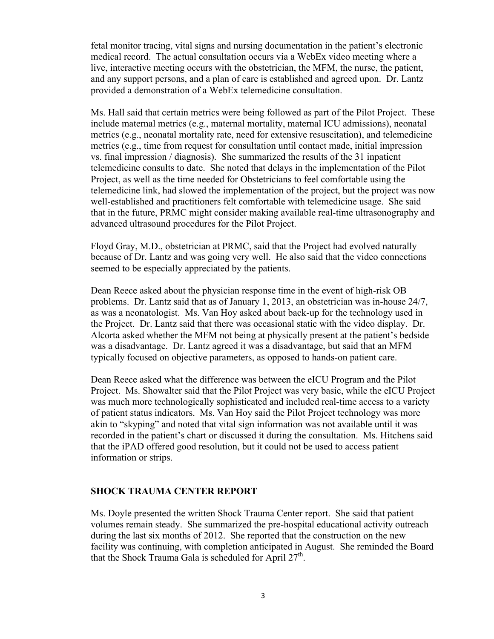fetal monitor tracing, vital signs and nursing documentation in the patient's electronic medical record. The actual consultation occurs via a WebEx video meeting where a live, interactive meeting occurs with the obstetrician, the MFM, the nurse, the patient, and any support persons, and a plan of care is established and agreed upon. Dr. Lantz provided a demonstration of a WebEx telemedicine consultation.

Ms. Hall said that certain metrics were being followed as part of the Pilot Project. These include maternal metrics (e.g., maternal mortality, maternal ICU admissions), neonatal metrics (e.g., neonatal mortality rate, need for extensive resuscitation), and telemedicine metrics (e.g., time from request for consultation until contact made, initial impression vs. final impression / diagnosis). She summarized the results of the 31 inpatient telemedicine consults to date. She noted that delays in the implementation of the Pilot Project, as well as the time needed for Obstetricians to feel comfortable using the telemedicine link, had slowed the implementation of the project, but the project was now well-established and practitioners felt comfortable with telemedicine usage. She said that in the future, PRMC might consider making available real-time ultrasonography and advanced ultrasound procedures for the Pilot Project.

Floyd Gray, M.D., obstetrician at PRMC, said that the Project had evolved naturally because of Dr. Lantz and was going very well. He also said that the video connections seemed to be especially appreciated by the patients.

Dean Reece asked about the physician response time in the event of high-risk OB problems. Dr. Lantz said that as of January 1, 2013, an obstetrician was in-house 24/7, as was a neonatologist. Ms. Van Hoy asked about back-up for the technology used in the Project. Dr. Lantz said that there was occasional static with the video display. Dr. Alcorta asked whether the MFM not being at physically present at the patient's bedside was a disadvantage. Dr. Lantz agreed it was a disadvantage, but said that an MFM typically focused on objective parameters, as opposed to hands-on patient care.

Dean Reece asked what the difference was between the eICU Program and the Pilot Project. Ms. Showalter said that the Pilot Project was very basic, while the eICU Project was much more technologically sophisticated and included real-time access to a variety of patient status indicators. Ms. Van Hoy said the Pilot Project technology was more akin to "skyping" and noted that vital sign information was not available until it was recorded in the patient's chart or discussed it during the consultation. Ms. Hitchens said that the iPAD offered good resolution, but it could not be used to access patient information or strips.

#### **SHOCK TRAUMA CENTER REPORT**

Ms. Doyle presented the written Shock Trauma Center report. She said that patient volumes remain steady. She summarized the pre-hospital educational activity outreach during the last six months of 2012. She reported that the construction on the new facility was continuing, with completion anticipated in August. She reminded the Board that the Shock Trauma Gala is scheduled for April  $27<sup>th</sup>$ .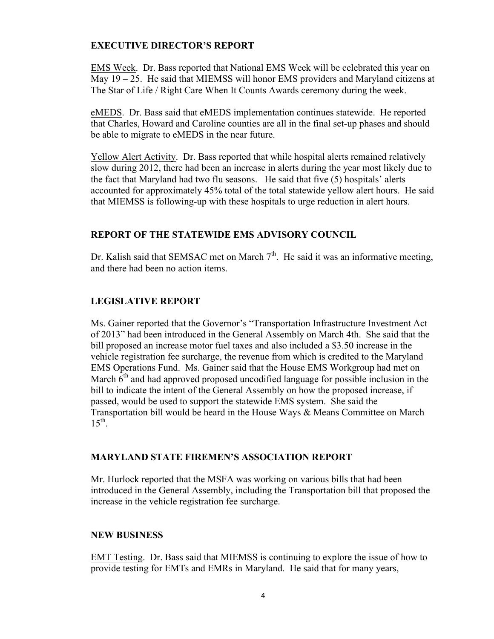## **EXECUTIVE DIRECTOR'S REPORT**

EMS Week. Dr. Bass reported that National EMS Week will be celebrated this year on May 19 – 25. He said that MIEMSS will honor EMS providers and Maryland citizens at The Star of Life / Right Care When It Counts Awards ceremony during the week.

eMEDS. Dr. Bass said that eMEDS implementation continues statewide. He reported that Charles, Howard and Caroline counties are all in the final set-up phases and should be able to migrate to eMEDS in the near future.

Yellow Alert Activity. Dr. Bass reported that while hospital alerts remained relatively slow during 2012, there had been an increase in alerts during the year most likely due to the fact that Maryland had two flu seasons. He said that five (5) hospitals' alerts accounted for approximately 45% total of the total statewide yellow alert hours. He said that MIEMSS is following-up with these hospitals to urge reduction in alert hours.

# **REPORT OF THE STATEWIDE EMS ADVISORY COUNCIL**

Dr. Kalish said that SEMSAC met on March  $7<sup>th</sup>$ . He said it was an informative meeting, and there had been no action items.

# **LEGISLATIVE REPORT**

Ms. Gainer reported that the Governor's "Transportation Infrastructure Investment Act of 2013" had been introduced in the General Assembly on March 4th. She said that the bill proposed an increase motor fuel taxes and also included a \$3.50 increase in the vehicle registration fee surcharge, the revenue from which is credited to the Maryland EMS Operations Fund. Ms. Gainer said that the House EMS Workgroup had met on March  $6<sup>th</sup>$  and had approved proposed uncodified language for possible inclusion in the bill to indicate the intent of the General Assembly on how the proposed increase, if passed, would be used to support the statewide EMS system. She said the Transportation bill would be heard in the House Ways & Means Committee on March  $15^{th}$ .

### **MARYLAND STATE FIREMEN'S ASSOCIATION REPORT**

Mr. Hurlock reported that the MSFA was working on various bills that had been introduced in the General Assembly, including the Transportation bill that proposed the increase in the vehicle registration fee surcharge.

# **NEW BUSINESS**

EMT Testing. Dr. Bass said that MIEMSS is continuing to explore the issue of how to provide testing for EMTs and EMRs in Maryland. He said that for many years,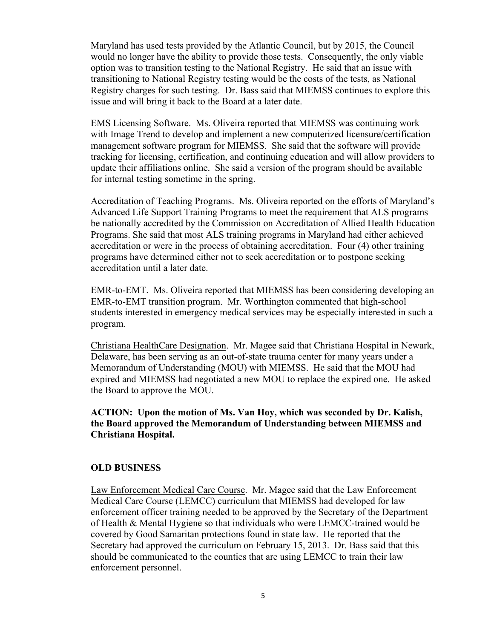Maryland has used tests provided by the Atlantic Council, but by 2015, the Council would no longer have the ability to provide those tests. Consequently, the only viable option was to transition testing to the National Registry. He said that an issue with transitioning to National Registry testing would be the costs of the tests, as National Registry charges for such testing. Dr. Bass said that MIEMSS continues to explore this issue and will bring it back to the Board at a later date.

EMS Licensing Software. Ms. Oliveira reported that MIEMSS was continuing work with Image Trend to develop and implement a new computerized licensure/certification management software program for MIEMSS. She said that the software will provide tracking for licensing, certification, and continuing education and will allow providers to update their affiliations online. She said a version of the program should be available for internal testing sometime in the spring.

Accreditation of Teaching Programs. Ms. Oliveira reported on the efforts of Maryland's Advanced Life Support Training Programs to meet the requirement that ALS programs be nationally accredited by the Commission on Accreditation of Allied Health Education Programs. She said that most ALS training programs in Maryland had either achieved accreditation or were in the process of obtaining accreditation. Four (4) other training programs have determined either not to seek accreditation or to postpone seeking accreditation until a later date.

EMR-to-EMT. Ms. Oliveira reported that MIEMSS has been considering developing an EMR-to-EMT transition program. Mr. Worthington commented that high-school students interested in emergency medical services may be especially interested in such a program.

Christiana HealthCare Designation. Mr. Magee said that Christiana Hospital in Newark, Delaware, has been serving as an out-of-state trauma center for many years under a Memorandum of Understanding (MOU) with MIEMSS. He said that the MOU had expired and MIEMSS had negotiated a new MOU to replace the expired one. He asked the Board to approve the MOU.

**ACTION: Upon the motion of Ms. Van Hoy, which was seconded by Dr. Kalish, the Board approved the Memorandum of Understanding between MIEMSS and Christiana Hospital.** 

#### **OLD BUSINESS**

Law Enforcement Medical Care Course. Mr. Magee said that the Law Enforcement Medical Care Course (LEMCC) curriculum that MIEMSS had developed for law enforcement officer training needed to be approved by the Secretary of the Department of Health & Mental Hygiene so that individuals who were LEMCC-trained would be covered by Good Samaritan protections found in state law. He reported that the Secretary had approved the curriculum on February 15, 2013. Dr. Bass said that this should be communicated to the counties that are using LEMCC to train their law enforcement personnel.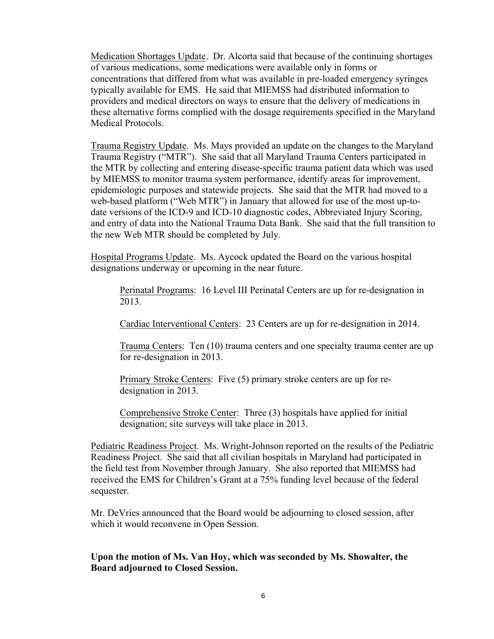Medication Shortages Update. Dr. Alcorta said that because of the continuing shortages of various medications, some medications were available only in forms or concentrations that differed from what was available in pre-loaded emergency syringes typically available for EMS. He said that MIEMSS had distributed information to providers and medical directors on ways to ensure that the delivery of medications in these alternative forms complied with the dosage requirements specified in the Maryland Medical Protocols.

Trauma Registry Update. Ms. Mays provided an update on the changes to the Maryland Trauma Registry ("MTR"). She said that all Maryland Trauma Centers participated in the MTR by collecting and entering disease-specific trauma patient data which was used by MIEMSS to monitor trauma system performance, identify areas for improvement, epidemiologic purposes and statewide projects. She said that the MTR had moved to a web-based platform ("Web MTR") in January that allowed for use of the most up-todate versions of the ICD-9 and ICD-10 diagnostic codes, Abbreviated Injury Scoring, and entry of data into the National Trauma Data Bank. She said that the full transition to the new Web MTR should be completed by July.

Hospital Programs Update. Ms. Aycock updated the Board on the various hospital designations underway or upcoming in the near future.

Perinatal Programs: 16 Level III Perinatal Centers are up for re-designation in 2013.

Cardiac Interventional Centers: 23 Centers are up for re-designation in 2014.

Trauma Centers: Ten (10) trauma centers and one specialty trauma center are up for re-designation in 2013.

Primary Stroke Centers: Five (5) primary stroke centers are up for redesignation in 2013.

Comprehensive Stroke Center: Three (3) hospitals have applied for initial designation; site surveys will take place in 2013.

Pediatric Readiness Project. Ms. Wright-Johnson reported on the results of the Pediatric Readiness Project. She said that all civilian hospitals in Maryland had participated in the field test from November through January. She also reported that MIEMSS had received the EMS for Children's Grant at a 75% funding level because of the federal sequester.

Mr. DeVries announced that the Board would be adjourning to closed session, after which it would reconvene in Open Session.

**Upon the motion of Ms. Van Hoy, which was seconded by Ms. Showalter, the Board adjourned to Closed Session.**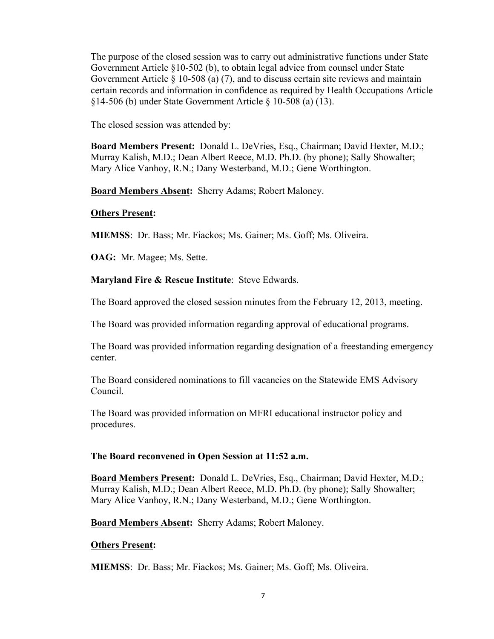The purpose of the closed session was to carry out administrative functions under State Government Article §10-502 (b), to obtain legal advice from counsel under State Government Article  $\S$  10-508 (a) (7), and to discuss certain site reviews and maintain certain records and information in confidence as required by Health Occupations Article §14-506 (b) under State Government Article § 10-508 (a) (13).

The closed session was attended by:

**Board Members Present:** Donald L. DeVries, Esq., Chairman; David Hexter, M.D.; Murray Kalish, M.D.; Dean Albert Reece, M.D. Ph.D. (by phone); Sally Showalter; Mary Alice Vanhoy, R.N.; Dany Westerband, M.D.; Gene Worthington.

**Board Members Absent:** Sherry Adams; Robert Maloney.

## **Others Present:**

**MIEMSS**: Dr. Bass; Mr. Fiackos; Ms. Gainer; Ms. Goff; Ms. Oliveira.

**OAG:** Mr. Magee; Ms. Sette.

**Maryland Fire & Rescue Institute**: Steve Edwards.

The Board approved the closed session minutes from the February 12, 2013, meeting.

The Board was provided information regarding approval of educational programs.

The Board was provided information regarding designation of a freestanding emergency center.

The Board considered nominations to fill vacancies on the Statewide EMS Advisory Council.

The Board was provided information on MFRI educational instructor policy and procedures.

### **The Board reconvened in Open Session at 11:52 a.m.**

**Board Members Present:** Donald L. DeVries, Esq., Chairman; David Hexter, M.D.; Murray Kalish, M.D.; Dean Albert Reece, M.D. Ph.D. (by phone); Sally Showalter; Mary Alice Vanhoy, R.N.; Dany Westerband, M.D.; Gene Worthington.

**Board Members Absent:** Sherry Adams; Robert Maloney.

### **Others Present:**

**MIEMSS**: Dr. Bass; Mr. Fiackos; Ms. Gainer; Ms. Goff; Ms. Oliveira.